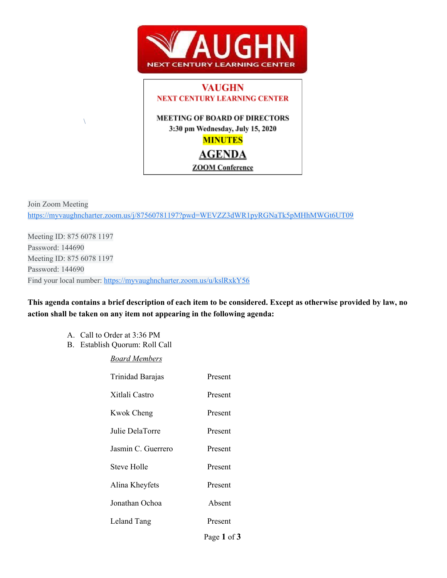



Join Zoom Meeting <https://myvaughncharter.zoom.us/j/87560781197?pwd=WEVZZ3dWR1pyRGNaTk5pMHhMWGt6UT09>

Meeting ID: 875 6078 1197 Password: 144690 Meeting ID: 875 6078 1197 Password: 144690 Find your local number:<https://myvaughncharter.zoom.us/u/kslRxkY56>

This agenda contains a brief description of each item to be considered. Except as otherwise provided by law, no **action shall be taken on any item not appearing in the following agenda:**

A. Call to Order at 3:36 PM

 $\lambda$ 

B. Establish Quorum: Roll Call

*Board Members*

| Trinidad Barajas   | Present |
|--------------------|---------|
| Xitlali Castro     | Present |
| Kwok Cheng         | Present |
| Julie DelaTorre    | Present |
| Jasmin C. Guerrero | Present |
| <b>Steve Holle</b> | Present |
| Alina Kheyfets     | Present |
| Jonathan Ochoa     | Absent  |
| Leland Tang        | Present |
|                    |         |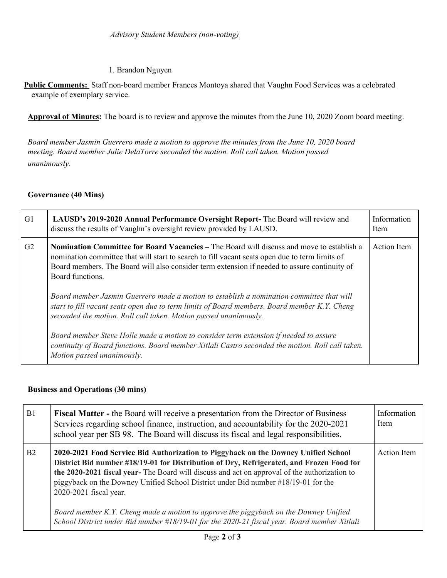# 1. Brandon Nguyen

**Public Comments:** Staff non-board member Frances Montoya shared that Vaughn Food Services was a celebrated example of exemplary service.

**Approval of Minutes:** The board is to review and approve the minutes from the June 10, 2020 Zoom board meeting.

*Board member Jasmin Guerrero made a motion to approve the minutes from the June 10, 2020 board meeting. Board member Julie DelaTorre seconded the motion. Roll call taken. Motion passed unanimously.*

### **Governance (40 Mins)**

| G <sub>1</sub> | LAUSD's 2019-2020 Annual Performance Oversight Report- The Board will review and<br>discuss the results of Vaughn's oversight review provided by LAUSD.                                                                                                                                                                                                                                                                                                                                                                                                                                                                                                                                                                                                                                                           | Information<br><b>Item</b> |
|----------------|-------------------------------------------------------------------------------------------------------------------------------------------------------------------------------------------------------------------------------------------------------------------------------------------------------------------------------------------------------------------------------------------------------------------------------------------------------------------------------------------------------------------------------------------------------------------------------------------------------------------------------------------------------------------------------------------------------------------------------------------------------------------------------------------------------------------|----------------------------|
| G <sub>2</sub> | <b>Nomination Committee for Board Vacancies – The Board will discuss and move to establish a</b><br>nomination committee that will start to search to fill vacant seats open due to term limits of<br>Board members. The Board will also consider term extension if needed to assure continuity of<br>Board functions.<br>Board member Jasmin Guerrero made a motion to establish a nomination committee that will<br>start to fill vacant seats open due to term limits of Board members. Board member K.Y. Cheng<br>seconded the motion. Roll call taken. Motion passed unanimously.<br>Board member Steve Holle made a motion to consider term extension if needed to assure<br>continuity of Board functions. Board member Xitlali Castro seconded the motion. Roll call taken.<br>Motion passed unanimously. | <b>Action</b> Item         |

### **Business and Operations (30 mins)**

| B1             | <b>Fiscal Matter - the Board will receive a presentation from the Director of Business</b><br>Services regarding school finance, instruction, and accountability for the 2020-2021<br>school year per SB 98. The Board will discuss its fiscal and legal responsibilities.                                                                                                                                                                                                                                                                                                              | Information<br><b>Item</b> |
|----------------|-----------------------------------------------------------------------------------------------------------------------------------------------------------------------------------------------------------------------------------------------------------------------------------------------------------------------------------------------------------------------------------------------------------------------------------------------------------------------------------------------------------------------------------------------------------------------------------------|----------------------------|
| B <sub>2</sub> | 2020-2021 Food Service Bid Authorization to Piggyback on the Downey Unified School<br>District Bid number #18/19-01 for Distribution of Dry, Refrigerated, and Frozen Food for<br>the 2020-2021 fiscal year- The Board will discuss and act on approval of the authorization to<br>piggyback on the Downey Unified School District under Bid number #18/19-01 for the<br>2020-2021 fiscal year.<br>Board member K.Y. Cheng made a motion to approve the piggyback on the Downey Unified<br>School District under Bid number #18/19-01 for the 2020-21 fiscal year. Board member Xitlali | Action Item                |